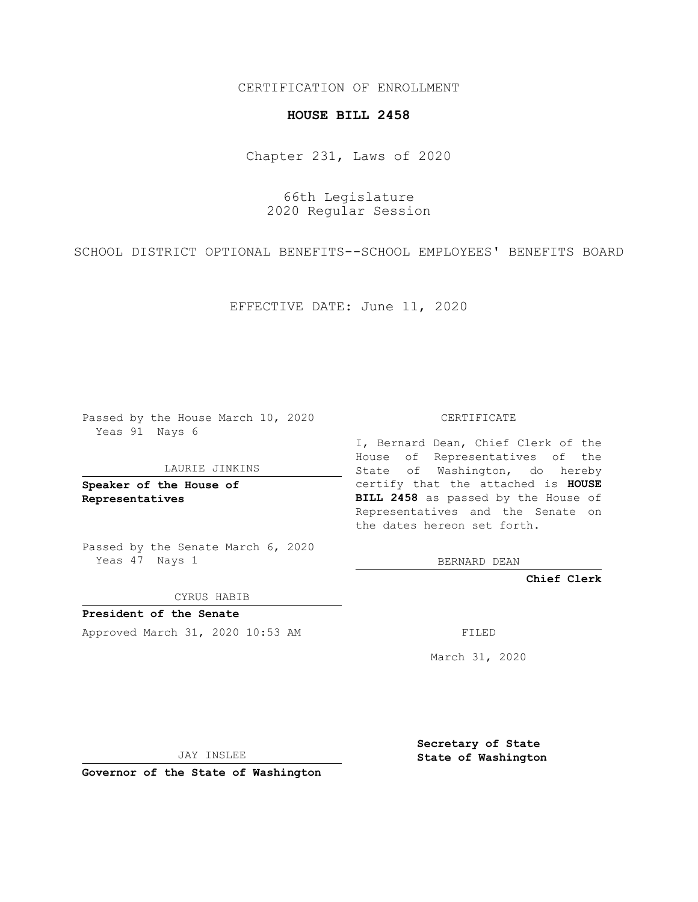CERTIFICATION OF ENROLLMENT

## **HOUSE BILL 2458**

Chapter 231, Laws of 2020

66th Legislature 2020 Regular Session

SCHOOL DISTRICT OPTIONAL BENEFITS--SCHOOL EMPLOYEES' BENEFITS BOARD

EFFECTIVE DATE: June 11, 2020

Passed by the House March 10, 2020 Yeas 91 Nays 6

## LAURIE JINKINS

**Speaker of the House of Representatives**

Passed by the Senate March 6, 2020 Yeas 47 Nays 1

CYRUS HABIB

**President of the Senate** Approved March 31, 2020 10:53 AM FILED

CERTIFICATE

I, Bernard Dean, Chief Clerk of the House of Representatives of the State of Washington, do hereby certify that the attached is **HOUSE BILL 2458** as passed by the House of Representatives and the Senate on the dates hereon set forth.

BERNARD DEAN

**Chief Clerk**

March 31, 2020

JAY INSLEE

**Governor of the State of Washington**

**Secretary of State State of Washington**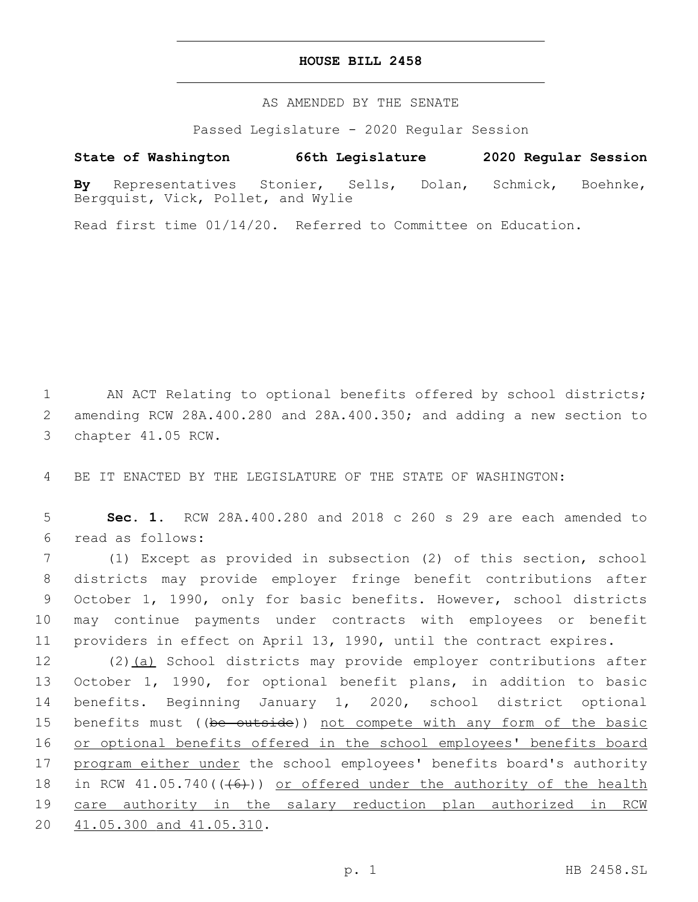## **HOUSE BILL 2458**

AS AMENDED BY THE SENATE

Passed Legislature - 2020 Regular Session

## **State of Washington 66th Legislature 2020 Regular Session**

**By** Representatives Stonier, Sells, Dolan, Schmick, Boehnke, Bergquist, Vick, Pollet, and Wylie

Read first time 01/14/20. Referred to Committee on Education.

1 AN ACT Relating to optional benefits offered by school districts; 2 amending RCW 28A.400.280 and 28A.400.350; and adding a new section to 3 chapter 41.05 RCW.

4 BE IT ENACTED BY THE LEGISLATURE OF THE STATE OF WASHINGTON:

5 **Sec. 1.** RCW 28A.400.280 and 2018 c 260 s 29 are each amended to read as follows:6

 (1) Except as provided in subsection (2) of this section, school districts may provide employer fringe benefit contributions after October 1, 1990, only for basic benefits. However, school districts may continue payments under contracts with employees or benefit providers in effect on April 13, 1990, until the contract expires.

12 (2)(a) School districts may provide employer contributions after 13 October 1, 1990, for optional benefit plans, in addition to basic 14 benefits. Beginning January 1, 2020, school district optional 15 benefits must ((be outside)) not compete with any form of the basic 16 or optional benefits offered in the school employees' benefits board 17 program either under the school employees' benefits board's authority 18 in RCW  $41.05.740$  ( $(46)$ )) or offered under the authority of the health 19 care authority in the salary reduction plan authorized in RCW 20 41.05.300 and 41.05.310.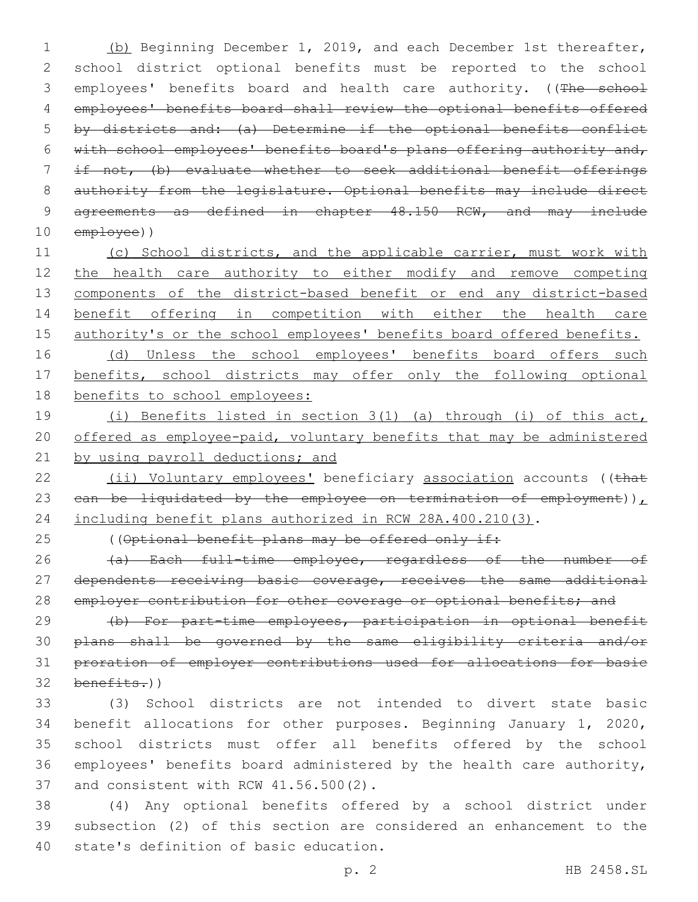(b) Beginning December 1, 2019, and each December 1st thereafter, school district optional benefits must be reported to the school 3 employees' benefits board and health care authority. ((The school employees' benefits board shall review the optional benefits offered by districts and: (a) Determine if the optional benefits conflict with school employees' benefits board's plans offering authority and, if not, (b) evaluate whether to seek additional benefit offerings 8 authority from the legislature. Optional benefits may include direct 9 agreements as defined in chapter 48.150 RCW, and may include employee))

11 (c) School districts, and the applicable carrier, must work with 12 the health care authority to either modify and remove competing 13 components of the district-based benefit or end any district-based 14 benefit offering in competition with either the health care 15 authority's or the school employees' benefits board offered benefits. 16 (d) Unless the school employees' benefits board offers such

17 benefits, school districts may offer only the following optional 18 benefits to school employees:

19 (i) Benefits listed in section 3(1) (a) through (i) of this act, 20 offered as employee-paid, voluntary benefits that may be administered 21 by using payroll deductions; and

22 (ii) Voluntary employees' beneficiary association accounts ((that 23  $can be liquidated by the employee on termination of employment)$ 24 including benefit plans authorized in RCW 28A.400.210(3).

25 ((Optional benefit plans may be offered only if:

26 (a) Each full-time employee, regardless of the number of 27 dependents receiving basic coverage, receives the same additional 28 employer contribution for other coverage or optional benefits; and

 (b) For part-time employees, participation in optional benefit plans shall be governed by the same eligibility criteria and/or proration of employer contributions used for allocations for basic benefits.)

 (3) School districts are not intended to divert state basic benefit allocations for other purposes. Beginning January 1, 2020, school districts must offer all benefits offered by the school employees' benefits board administered by the health care authority, 37 and consistent with RCW 41.56.500(2).

38 (4) Any optional benefits offered by a school district under 39 subsection (2) of this section are considered an enhancement to the 40 state's definition of basic education.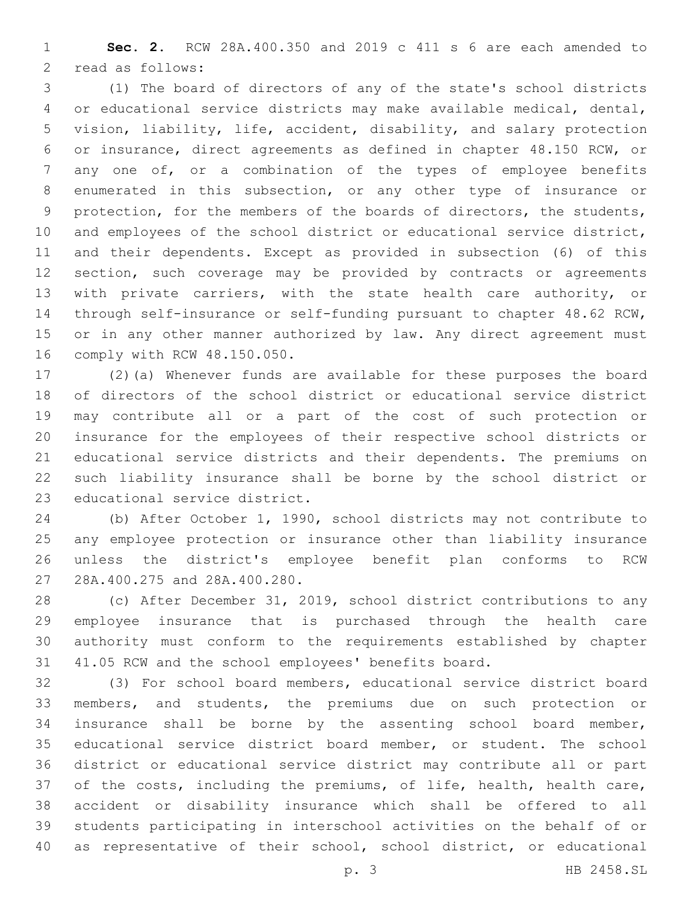**Sec. 2.** RCW 28A.400.350 and 2019 c 411 s 6 are each amended to 2 read as follows:

 (1) The board of directors of any of the state's school districts or educational service districts may make available medical, dental, vision, liability, life, accident, disability, and salary protection or insurance, direct agreements as defined in chapter 48.150 RCW, or any one of, or a combination of the types of employee benefits enumerated in this subsection, or any other type of insurance or protection, for the members of the boards of directors, the students, and employees of the school district or educational service district, and their dependents. Except as provided in subsection (6) of this section, such coverage may be provided by contracts or agreements with private carriers, with the state health care authority, or through self-insurance or self-funding pursuant to chapter 48.62 RCW, 15 or in any other manner authorized by law. Any direct agreement must 16 comply with RCW 48.150.050.

 (2)(a) Whenever funds are available for these purposes the board of directors of the school district or educational service district may contribute all or a part of the cost of such protection or insurance for the employees of their respective school districts or educational service districts and their dependents. The premiums on such liability insurance shall be borne by the school district or 23 educational service district.

 (b) After October 1, 1990, school districts may not contribute to any employee protection or insurance other than liability insurance unless the district's employee benefit plan conforms to RCW 27 28A.400.275 and 28A.400.280.

 (c) After December 31, 2019, school district contributions to any employee insurance that is purchased through the health care authority must conform to the requirements established by chapter 41.05 RCW and the school employees' benefits board.

 (3) For school board members, educational service district board members, and students, the premiums due on such protection or insurance shall be borne by the assenting school board member, educational service district board member, or student. The school district or educational service district may contribute all or part of the costs, including the premiums, of life, health, health care, accident or disability insurance which shall be offered to all students participating in interschool activities on the behalf of or as representative of their school, school district, or educational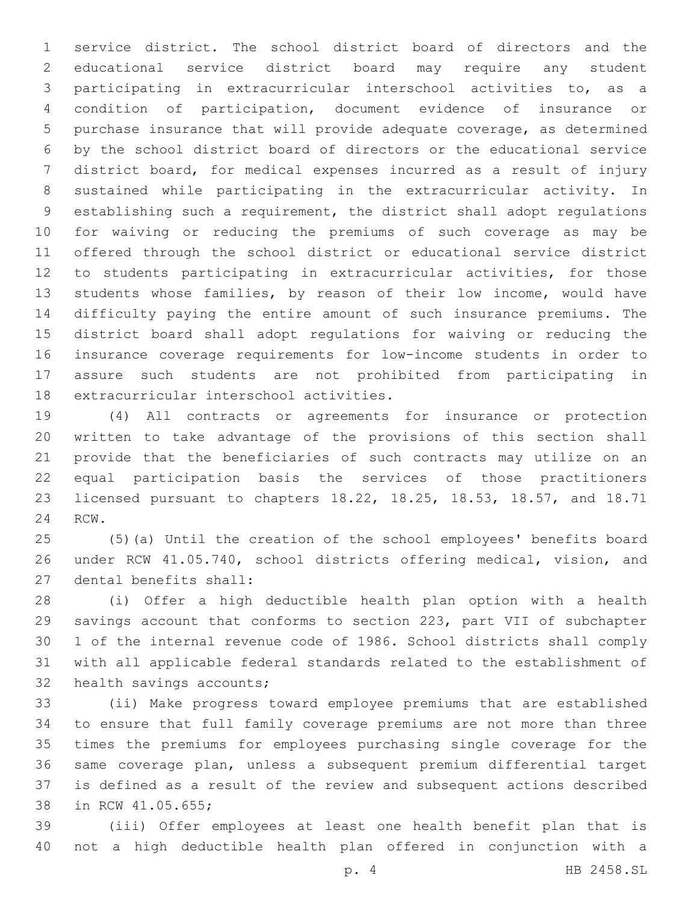service district. The school district board of directors and the educational service district board may require any student participating in extracurricular interschool activities to, as a condition of participation, document evidence of insurance or purchase insurance that will provide adequate coverage, as determined by the school district board of directors or the educational service district board, for medical expenses incurred as a result of injury sustained while participating in the extracurricular activity. In establishing such a requirement, the district shall adopt regulations for waiving or reducing the premiums of such coverage as may be offered through the school district or educational service district to students participating in extracurricular activities, for those students whose families, by reason of their low income, would have difficulty paying the entire amount of such insurance premiums. The district board shall adopt regulations for waiving or reducing the insurance coverage requirements for low-income students in order to assure such students are not prohibited from participating in 18 extracurricular interschool activities.

 (4) All contracts or agreements for insurance or protection written to take advantage of the provisions of this section shall provide that the beneficiaries of such contracts may utilize on an equal participation basis the services of those practitioners licensed pursuant to chapters 18.22, 18.25, 18.53, 18.57, and 18.71 24 RCW.

 (5)(a) Until the creation of the school employees' benefits board under RCW 41.05.740, school districts offering medical, vision, and 27 dental benefits shall:

 (i) Offer a high deductible health plan option with a health savings account that conforms to section 223, part VII of subchapter 1 of the internal revenue code of 1986. School districts shall comply with all applicable federal standards related to the establishment of 32 health savings accounts;

 (ii) Make progress toward employee premiums that are established to ensure that full family coverage premiums are not more than three times the premiums for employees purchasing single coverage for the same coverage plan, unless a subsequent premium differential target is defined as a result of the review and subsequent actions described 38 in RCW 41.05.655;

 (iii) Offer employees at least one health benefit plan that is not a high deductible health plan offered in conjunction with a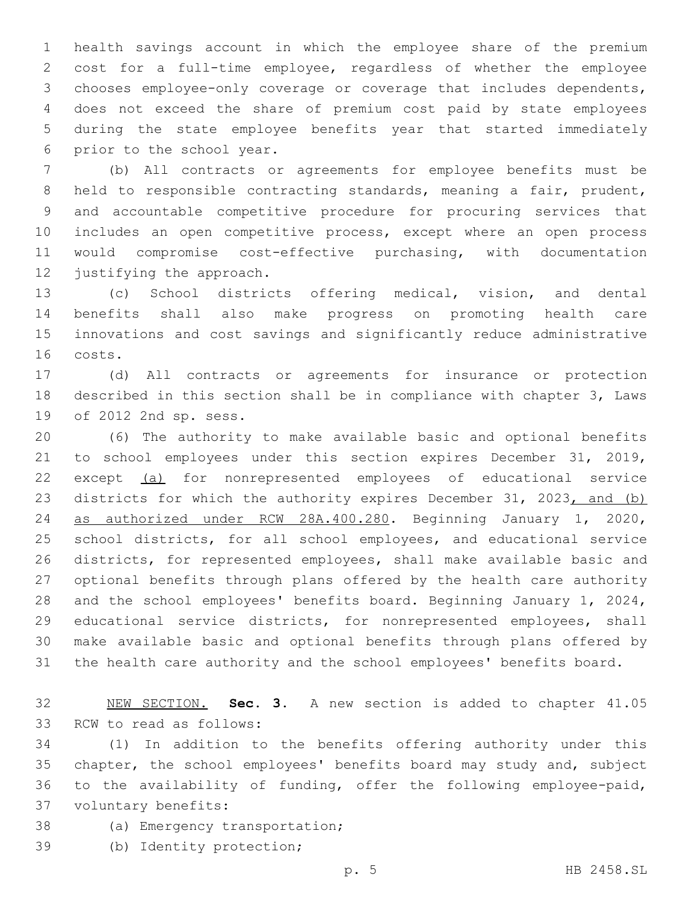health savings account in which the employee share of the premium cost for a full-time employee, regardless of whether the employee chooses employee-only coverage or coverage that includes dependents, does not exceed the share of premium cost paid by state employees during the state employee benefits year that started immediately 6 prior to the school year.

 (b) All contracts or agreements for employee benefits must be held to responsible contracting standards, meaning a fair, prudent, and accountable competitive procedure for procuring services that includes an open competitive process, except where an open process would compromise cost-effective purchasing, with documentation 12 justifying the approach.

 (c) School districts offering medical, vision, and dental benefits shall also make progress on promoting health care innovations and cost savings and significantly reduce administrative 16 costs.

 (d) All contracts or agreements for insurance or protection described in this section shall be in compliance with chapter 3, Laws 19 of 2012 2nd sp. sess.

 (6) The authority to make available basic and optional benefits to school employees under this section expires December 31, 2019, except (a) for nonrepresented employees of educational service 23 districts for which the authority expires December 31, 2023, and (b) as authorized under RCW 28A.400.280. Beginning January 1, 2020, school districts, for all school employees, and educational service districts, for represented employees, shall make available basic and optional benefits through plans offered by the health care authority and the school employees' benefits board. Beginning January 1, 2024, educational service districts, for nonrepresented employees, shall make available basic and optional benefits through plans offered by the health care authority and the school employees' benefits board.

 NEW SECTION. **Sec. 3.** A new section is added to chapter 41.05 33 RCW to read as follows:

 (1) In addition to the benefits offering authority under this chapter, the school employees' benefits board may study and, subject to the availability of funding, offer the following employee-paid, 37 voluntary benefits:

- 38 (a) Emergency transportation;
- (b) Identity protection;39

p. 5 HB 2458.SL